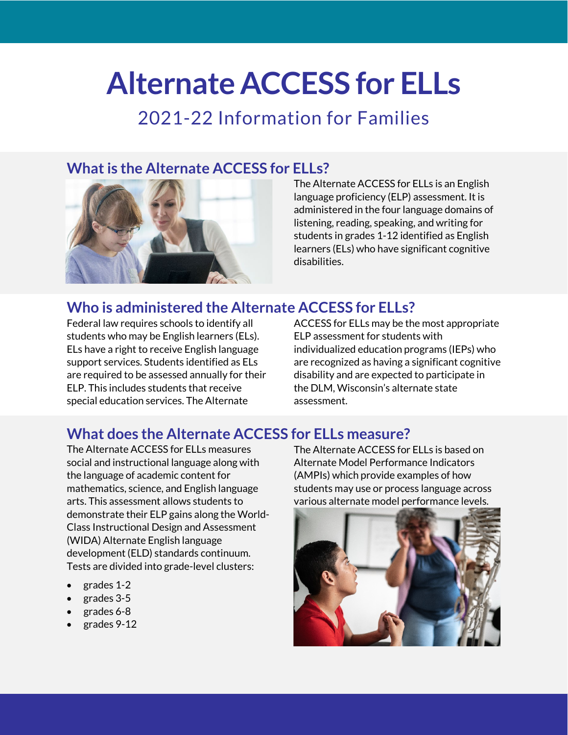# **Alternate ACCESS for ELLs**

## 2021-22 Information for Families

## **What is the Alternate ACCESS for ELLs?**



The Alternate ACCESS for ELLs is an English language proficiency (ELP) assessment. It is administered in the four language domains of listening, reading, speaking, and writing for students in grades 1-12 identified as English learners (ELs) who have significant cognitive disabilities.

## **Who is administered the Alternate ACCESS for ELLs?**

Federal law requires schools to identify all students who may be English learners (ELs). ELs have a right to receive English language support services. Students identified as ELs are required to be assessed annually for their ELP. This includes students that receive special education services. The Alternate

ACCESS for ELLs may be the most appropriate ELP assessment for students with individualized education programs (IEPs) who are recognized as having a significant cognitive disability and are expected to participate in the DLM, Wisconsin's alternate state assessment.

## **What does the Alternate ACCESS for ELLs measure?**

The Alternate ACCESS for ELLs measures social and instructional language along with the language of academic content for mathematics, science, and English language arts. This assessment allows students to demonstrate their ELP gains along the World-Class Instructional Design and Assessment (WIDA) Alternate English language development (ELD) standards continuum. Tests are divided into grade-level clusters:

- grades 1-2
- grades 3-5
- grades 6-8
- grades 9-12

The Alternate ACCESS for ELLs is based on Alternate Model Performance Indicators (AMPIs) which provide examples of how students may use or process language across various alternate model performance levels.